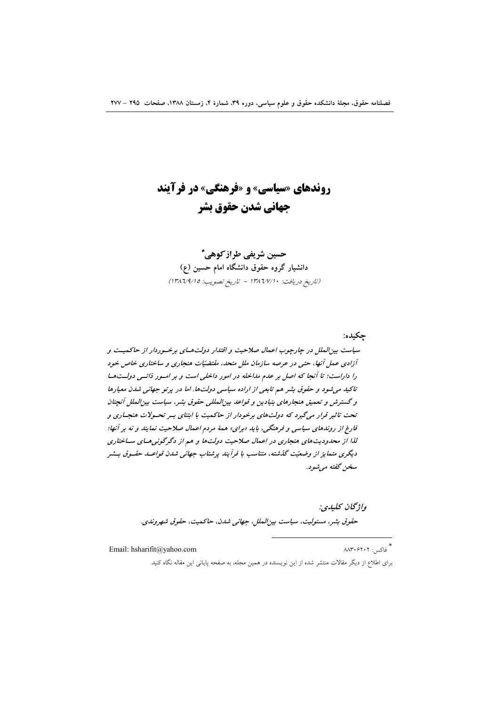# **روندهای «سیاسی» و «فرهنگی» در فرآیند** جهاني شدن حقوق بشر

حسین شریفی طراز کوهی ً دانشیار گروه حقوق دانشگاه امام حسین (ع) (تاريخ دريافت: ١٣٨٦/٧/١٠ - تاريخ تصويب: ١٣٨٦/٩/١٥)

حكىدە: سیاست بین الملل در چارچوب اعمال صلاحیت و اقتدار دولتههای برخسوردار از حاکمیت و آزادی عمل آنها، حتی در عرصه سازمان ملل متحد، مقتضیّات هنجاری و ساختاری خاص خود را داراست؛ تا آنجا که اصل بر عدم مداخله در امور داخلی است و بر امور ذاتمی دولت ها تاکید می شود و حقوق بشر هم تابعی از اراده سیاسی دولتها. اما در پرتو جهانی شدن معیارها و گسترش و تعمیق هنجارهای بنیادین و قواعد بین المللی حقوق بشر، سیاست بین الملل آنچنان تحت تاثیر قرار میگیرد که دولتهای برخودار از حاکمیت با ابتنای بسر تحسولات هنجساری و فارغ از روندهای سیاسی و فرهنگی، باید «برای» همهٔ مردم اعمال صلاحیت نمایند و نه بر آنها؛ لذا از محدودیت های هنجاری در اعمال صلاحیت دولت ها و هم از دگرگونی هـای سـاختاری دیگری متمایز از وضعیّت گذشته، متناسب با فرایند پرشتاب جهانی شدن قواعـد حقـوق بـشر سخن گفته می شود.

> واژىحان يىلىدى: حقوق بشر، مسئوليت، سياست بين الملل، جهاني شدن، حاكميت، حقوق شهروندي.

Email: hsharifit@yahoo.com

\*<br>\* فاکس: ۸۸۳۰۶۲۰۲

برای اطلاع از دیگر مقالات منتشر شده از این نویسنده در همین مجله، به صفحه پایانی این مقاله نگاه کنید.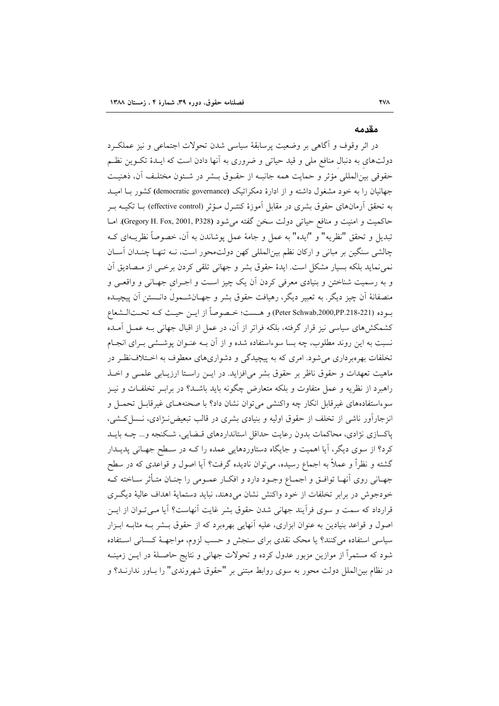#### مقدمه

در اثر وقوف و آگاهی بر وضعیت پرسابقهٔ سیاسی شدن تحولات اجتماعی و نیز عملکرد دولتهای به دنبال منافع ملی و قید حیاتی و ضروری به آنها دادن است که ایــدهٔ تکــوین نظــم حقوقي بين|لمللي مؤثر و حمايت همه جانبـه از حقـوق بـشر در شـئون مختلـف آن، ذهنيـت جهانیان را به خود مشغول داشته و از ادارهٔ دمکراتیک (democratic governance) کشور بـا امیــد به تحقق اَرمانهای حقوق بشری در مقابل اَموزهٔ کنتـرل مـؤثر (effective control) بــا تکیــه بــر حاكميت و امنيت و منافع حياتي دولت سخن گفته مي شود (Gregory H. Fox, 2001, P328). امـا تبديل و تحقق "نظريه" و "ايده" به عمل و جامهٔ عمل يوشاندن به آن، خصوصاً نظريــهاي كــه چالشی سنگین بر مبانی و ارکان نظم بینالمللی کهن دولتمحور است، نـه تنهـا چنـدان آسـان نمی نماید بلکه بسیار مشکل است. ایدهٔ حقوق بشر و جهانی تلقی کردن برخـی از مـصادیق آن و به رسمیت شناختن و بنیادی معرفی کردن آن یک چیز است و اجـرای جهـانی و واقعـی و منصفانهٔ اَن چیز دیگر. به تعبیر دیگر، رهیافت حقوق بشر و جهـانشــمول دانــستن اَن پیچیــده بوده (Peter Schwab,2000,PP.218-221) و هـست؛ خـصوصاً از ايـن حيـث كـه تحـتالـشعاع کشمکشهای سیاسی نیز قرار گرفته، بلکه فراتر از آن، در عمل از اقبال جهانی بـه عمـل آمـده نسبت به این روند مطلوب، چه بسا سوءاستفاده شده و از آن بـه عنـوان پوشــشی بـرای انجـام تخلفات بهرهبرداری می شود. امری که به پیچیدگی و دشواریهای معطوف به اخـتلاف:نظـر در ماهيت تعهدات و حقوق ناظر بر حقوق بشر مي افزايد. در ايــن راسـتا ارزيــابي علمــي و اخــذ راهبرد از نظریه و عمل متفاوت و بلکه متعارض چگونه باید باشــد؟ در برابــر تخلفــات و نیــز سوءاستفادههای غیرقابل انکار چه واکنشی می توان نشان داد؟ با صحنههـای غیرقابـل تحمـل و انزجارآور ناشی از تخلف از حقوق اولیه و بنیادی بشری در قالب تبعیض نـژادی، نـسل كـشی، پاکسازی نژادی، محاکمات بدون رعایت حداقل استانداردهای قبضایی، شکنجه و... چــه بایــد کرد؟ از سوی دیگر، آیا اهمیت و جایگاه دستاوردهایی عمده را کـه در سـطح جهـانی پدیـدار گشته و نظراً و عملاً به اجماع رسیده، میٍتوان نادیده گرفت؟ آیا اصول و قواعدی که در سطح جهـاني روى أنهـا توافـق و اجمـاع وجـود دارد و افكـار عمـومي را چنـان متـأثر سـاخته كـه خودجوش در برابر تخلفات از خود واكنش نشان مىدهند، نبايد دستماية اهداف عالية ديگرى قرارداد که سمت و سوی فرآیند جهانی شدن حقوق بشر غایت آنهاست؟ آیا مـی تـوان از ایـن اصول و قواعد بنیادین به عنوان ابزاری، علیه آنهایی بهرهبرد که از حقوق بــشر بــه مثابــه ابــزار سیاسی استفاده می کنند؟ یا محک نقدی برای سنجش و حسب لزوم، مواجهـهٔ کـسانی اسـتفاده شود که مستمراً از موازین مزبور عدول کرده و تحولات جهانی و نتایج حاصـلهٔ در ایــن زمینــه در نظام بین|لملل دولت محور به سوی روابط مبتنی بر "حقوق شهروندی" را بـاور ندارنــد؟ و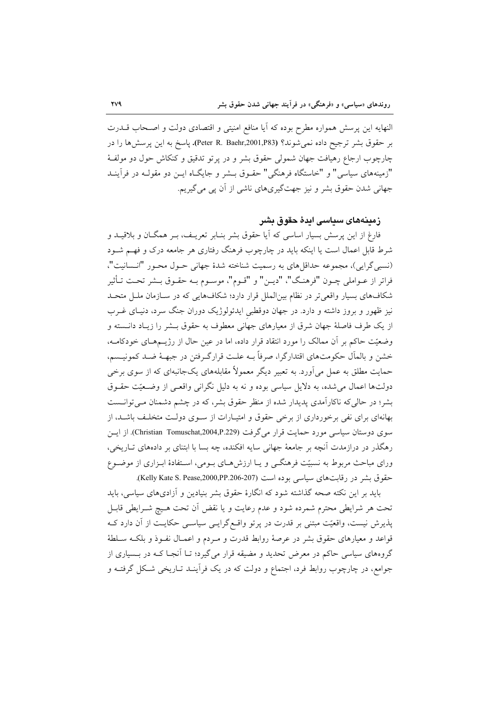النهايه اين پرسش همواره مطرح بوده كه آيا منافع امنيتي و اقتصادي دولت و اصـحاب قـــدرت بر حقوق بشر ترجيح داده نمي شوند؟ (Peter R. Baehr,2001,P83). ياسخ به اين پرسشها را در چارچوب ارجاع رهیافت جهان شمولی حقوق بشر و در پرتو تدقیق و کنکاش حول دو مولفهٔ "زمینههای سیاسی" و "خاستگاه فرهنگی" حقـوق بــشر و جایگــاه ایــن دو مقولــه در فرأینــد جهانی شدن حقوق بشر و نیز جهتگیریهای ناشی از آن پی میگیریم.

## زمینههای سیاسی ایدهٔ چقوق یشر

فارغ از این پرسش بسیار اساسی که آیا حقوق بشر بنـابر تعریـف، بـر همگــان و بلاقیــد و شرط قابل اعمال است یا اینکه باید در چارچوب فرهنگ رفتاری هر جامعه درک و فهم شـود (نسبي گرايي)، مجموعه حداقلهاي به رسميت شناخته شدهٔ جهاني حـول محـور "انـسانيت"، فراتر از عــواملي چــون "فرهنـگ"، "ديــن" و "قــوم"، موســوم بــه حقــوق بــشر تحــت تــأثير شکافهای بسیار واقعیتر در نظام بینالملل قرار دارد؛ شکافهایی که در سـازمان ملـل متحـد نیز ظهور و بروز داشته و دارد. در جهان دوقطبی ایدئولوژیک دوران جنگ سرد، دنیـای غــرب از یک طرف فاصلهٔ جهان شرق از معیارهای جهانی معطوف به حقوق بــشر را زیـاد دانــسته و وضعیّت حاکم بر آن ممالک را مورد انتقاد قرار داده، اما در عین حال از رژیــمهـای خودکامــه، خشن و بالمآل حکومتهای اقتدارگرا، صرفاً بـه علـت قرارگـرفتن در جبهـهٔ ضـد کمونيـسم، حمایت مطلق به عمل می آورد. به تعبیر دیگر معمولاً مقابلههای یکجانبهای که از سوی برخی دولتها اعمال می شده، به دلایل سیاسی بوده و نه به دلیل نگرانی واقعـی از وضـعیّت حقـوق بشر؛ در حالی که ناکارآمدی پدیدار شده از منظر حقوق بشر، که در چشم دشمنان مے توانست بهانهای برای نفی برخورداری از برخی حقوق و امتیـارات از سـوی دولـت متخلـف باشـد، از سوی دوستان سیاسی مورد حمایت قرار میگرفت (Christian Tomuschat,2004,P.229). از ایس رهگذر در درازمدت آنچه بر جامعهٔ جهانی سایه افکنده، چه بسا با ابتنای بر دادههای تـاریخی، ورای مباحث مربوط به نسبیّت فرهنگــی و یــا ارزشهــای بــومی، اســتفادهٔ ابــزاری از موضــوع حقوق بشر در رقابت های سیاسی بوده است (207-206-200,PP.206). (Kelly Kate S. Pease,2000,PP.206).

باید بر این نکته صحه گذاشته شود که انگارهٔ حقوق بشر بنیادین و آزادیهای سیاسی، باید تحت هر شرايطي محترم شمرده شود و عدم رعايت و يا نقض أن تحت هـيچ شـرايطي قابـل پذیرش نیست، واقعیّت مبتنی بر قدرت در پرتو واقع گرایـی سیاسـی حکایـت از آن دارد کـه قواعد و معیارهای حقوق بشر در عرصهٔ روابط قدرت و مـردم و اعمـال نفـوذ و بلکـه سـلطهٔ گروههای سیاسی حاکم در معرض تحدید و مضیقه قرار میگیرد؛ تـا آنجـا کـه در بــسیاری از جوامع، در چارچوب روابط فرد، اجتماع و دولت که در یک فرآینـد تـاریخی شـکل گرفتـه و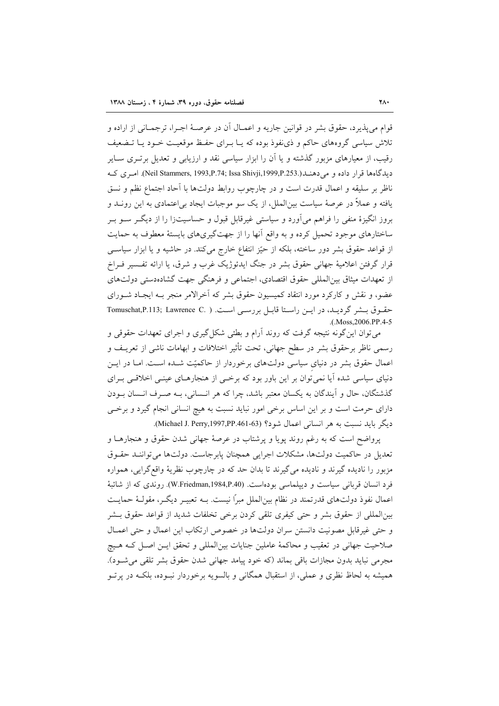قوام مي يذير د، حقوق بشر در قوانين جاريه و اعمــال آن در عرصـهٔ اجـرا، ترجمــاني از اراده و تلاش سیاسی گروههای حاکم و ذی نفوذ بوده که یـا بـرای حفـظ موقعیـت خـود یـا تـضعیف رقیب، از معیارهای مزبور گذشته و یا آن را ابزار سیاسی نقد و ارزیابی و تعدیل برتـری ســایر ديدگاهها قرار داده و مي دهنــد(.Neil Stammers, 1993,P.74; Issa Shivji,1999,P.253). امـري كــه ناظر بر سليقه و اعمال قدرت است و در چارچوب روابط دولتها با آحاد اجتماع نظم و نسق یافته و عملاً در عرصهٔ سیاست بین|لملل، از یک سو موجبات ایجاد بی|عتمادی به این رونــد و بروز انگیزهٔ منفی را فراهم می آورد و سیاستی غیرقابل قبول و حساسیتزا را از دیگـر ســو بــر ساختارهای موجود تحمیل کرده و به واقع آنها را از جهتگیریهای بایستهٔ معطوف به حمایت از قواعد حقوق بشر دور ساخته، بلکه از حیّز انتفاع خارج میکند. در حاشیه و یا ابزار سیاسی قرار گرفتن اعلامیهٔ جهانی حقوق بشر در جنگ ایدئوژیک غرب و شرق، یا ارائه تفسیر فـراخ از تعهدات میثاق بین|لمللی حقوق اقتصادی، اجتماعی و فرهنگی جهت گشادهدستی دولتهای عضو، و نقش و کارکرد مورد انتقاد کمیسیون حقوق بشر که اَخرالامر منجر بـه ایجـاد شــورای حقوق بشر گرديد، در اين راستا قابل بررسي است. ( .Tomuschat,P.113; Lawrence C .(Moss.2006.PP.4-5

می توان این گونه نتیجه گرفت که روند آرام و بطئی شکل گیری و اجرای تعهدات حقوقی و رسمی ناظر برحقوق بشر در سطح جهانی، تحت تأثیر اختلافات و ابهامات ناشی از تعریـف و اعمال حقوق بشر در دنیای سیاسی دولتهای برخوردار از حاکمیّت شـده اسـت. امـا در ایــن دنیای سیاسی شده آیا نمی توان بر این باور بود که برخمی از هنجارهـای عینـی اخلاقـی بـرای گذشتگان، حال و آیندگان به یکسان معتبر باشد، چرا که هر انـسانی، بـه صـرف انـسان بـودن دارای حرمت است و بر این اساس برخی امور نباید نسبت به هیچ انسانی انجام گیرد و برخبی ديگر بايد نسبت به هر انساني اعمال شود؟ (Michael J. Perry,1997,PP.461-63).

پرواضح است که به رغم روند پویا و پرشتاب در عرصهٔ جهانی شدن حقوق و هنجارهـا و تعدیل در حاکمیت دولتها، مشکلات اجرایی همچنان پابرجاست. دولتها میتواننـد حقـوق مزبور را نادیده گیرند و نادیده میگیرند تا بدان حد که در چارچوب نظریهٔ واقعگرایی، همواره فرد انسان قربانی سیاست و دیپلماسی بودهاست. (W.Friedman,1984,P.40). روندی که از شائبهٔ اعمال نفوذ دولتهای قدرتمند در نظام بین|لملل مبراً نیست. بــه تعبیــر دیگــر، مقولــهٔ حمایــت بين|لمللي از حقوق بشر و حتى كيفرى تلقى كردن برخى تخلفات شديد از قواعد حقوق بــشر و حتى غيرقابل مصونيت دانستن سران دولتها در خصوص ارتكاب اين اعمال وحتى اعمـال صلاحیت جهانی در تعقیب و محاکمهٔ عاملین جنایات بین|لمللی و تحقق ایـن اصـل کـه هـیچ مجرمي نبايد بدون مجازات باقي بماند (كه خود پيامد جهاني شدن حقوق بشر تلقي مي شـود). همیشه به لحاظ نظری و عملی، از استقبال همگانی و بالسویه برخوردار نبـوده، بلکـه در پرتـو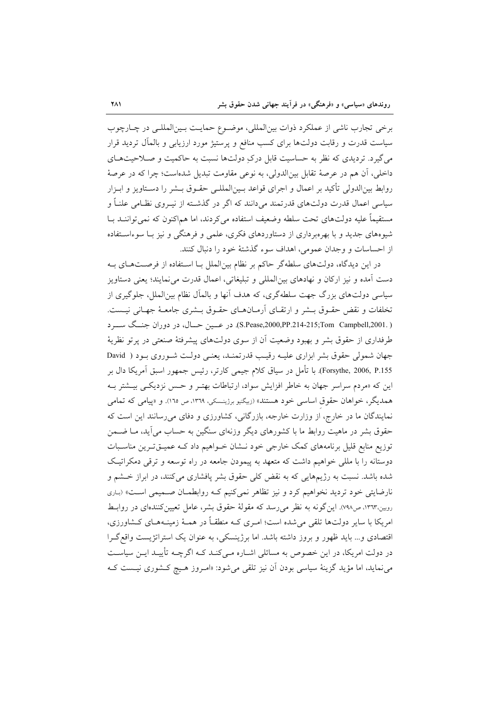برخي تجارب ناشي از عملكرد ذوات بين|لمللي، موضـوع حمايـت بـين|لمللـي در چـارچوب سیاست قدرت و رقابت دولتها برای کسب منافع و پرستیژ مورد ارزیابی و بالمآل تردید قرار می گیرد. تردیدی که نظر به حساسیت قابل درکِ دولتها نسبت به حاکمیت و صـلاحیتهـای داخلی، آن هم در عرصهٔ تقابل بینالدولی، به نوعی مقاومت تبدیل شدهاست؛ چرا که در عرصهٔ روابط بین|لدولی تأکید بر اعمال و اجرای قواعد بـین|لمللـی حقـوق بـشر را دسـتاویز و ابـزار سیاسی اعمال قدرت دولتهای قدرتمند میدانند که اگر در گذشته از نیـروی نظـامی علنـاً و مستقیماً علیه دولتهای تحت سلطه وضعیف استفاده می کردند، اما هماکنون که نمی تواننــد بــا شیوههای جدید و با بهرهبرداری از دستاوردهای فکری، علمی و فرهنگی و نیز بـا سوءاسـتفاده از احساسات و وجدان عمومي، اهداف سوء گذشتهٔ خود را دنبال كنند.

در این دیدگاه، دولتهای سلطهگر حاکم بر نظام بینالملل بـا اسـتفاده از فرصـتهـای بـه دست آمده و نيز اركان و نهادهاي بين|لمللي و تبليغاتي، اعمال قدرت مي نمايند؛ يعني دستاويز سیاسی دولتهای بزرگ جهت سلطهگری، که هدف آنها و بالمآل نظام بین|لملل، جلوگیری از تخلفات و نقض حقـوق بـشر و ارتقـاى آرمـانهـاى حقـوق بـشرى جامعـهٔ جهـانى نيـست. ( .S.Pease,2000,PP.214-215;Tom Campbell,2001). در عــين حــال، در دوران جنــگ ســـرد طرفداری از حقوق بشر و بهبود وضعیت آن از سوی دولتهای پیشرفتهٔ صنعتی در پرتو نظریهٔ جهان شمولی حقوق بشر ابزاری علیـه رقیـب قدرتمنـد، یعنـی دولـت شـوروی بـود ( David Forsythe, 2006, P.155). با تأمل در سیاق کلام جیمی کارتر، رئیس جمهور اسبق آمریکا دال بر این که «مردم سراسر جهان به خاطر افزایش سواد، ارتباطات بهتـر و حـس نزدیکـی بیــشتر بــه همدیگر، خواهان حقوق اساسی خود هستند» (زبیگنیو برژینسکی، ۱۳۶۹، ص ۱۶۱۵. و «پیامی که تمامی نمایندگان ما در خارج، از وزارت خارجه، بازرگانی، کشاورزی و دفای می رسانند این است که حقوق بشر در ماهیت روابط ما با کشورهای دیگر وزنهای سنگین به حساب میآید، مـا ضـمن توزیع منابع قلیل برنامههای کمک خارجی خود نـشان خـواهیم داد کـه عمیــقتـرین مناسـبات دوستانه را با مللی خواهیم داشت که متعهد به پیمودن جامعه در راه توسعه و ترقی دمکراتیک شده باشد. نسبت به رژیمهایی که به نقض کلی حقوق بشر پافشاری میکنند، در ابراز خــشم و نارضایتی خود تردید نخواهیم کرد و نیز تظاهر نمی کنیم کـه روابطمـان صـمیمی اسـت» (بـاری روبین،۱۳٦۳، ص۷۹۸). این گونه به نظر می رسد که مقولهٔ حقوق بشر، عامل تعیین کنندهای در روابط امریکا با سایر دولتها تلقی می شده است؛ امـری کــه منطقــاً در همــهٔ زمینــههــای کــشاورزی، اقتصادی و… باید ظهور و بروز داشته باشد. اما برژینسکی، به عنوان یک استراتژیست واقع گـرا در دولت امریکا، در این خصوص به مسائلی اشـاره مـیکنـد کـه اگرچـه تأییـد ایــن سیاســت می نماید، اما مؤید گزینهٔ سیاسی بودن آن نیز تلقی می شود: «امـروز هـیچ کـشوری نیـست کـه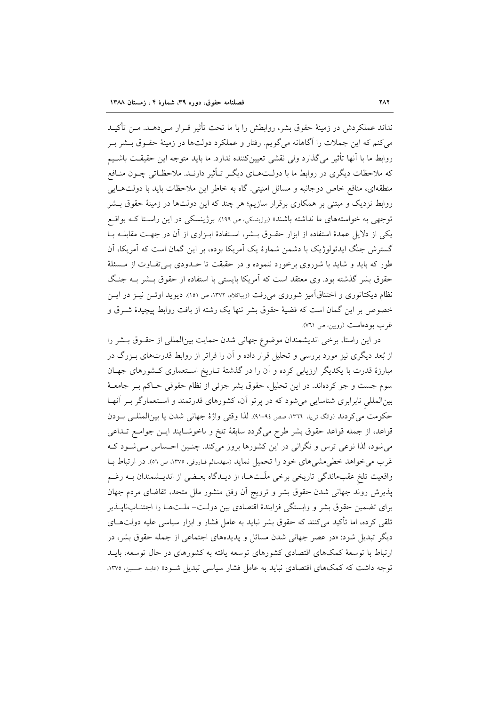نداند عملکردش در زمینهٔ حقوق بشر، روابطش را با ما تحت تأثیر قـرار مـی،دهــد. مــن تأکیــد می کنم که این جملات را آگاهانه می گویم. رفتار و عملکرد دولتها در زمینهٔ حقـوق بــشر بــر روابط ما با أنها تأثير مي گذارد ولي نقشي تعيين كننده ندارد. ما بايد متوجه اين حقيقت باشـيم که ملاحظات دیگری در روابط ما با دولـتهـای دیگـر تـأثیر دارنـد. ملاحظـاتی چــون منــافع منطقهای، منافع خاص دوجانبه و مسائل امنیتی. گاه به خاطر این ملاحظات باید با دولتهایی روابط نزدیک و مبتنی بر همکاری برقرار سازیم؛ هر چند که این دولتها در زمینهٔ حقوق بـشر توجهی به خواستههای ما نداشته باشند» (برزیسکی، ص ۱۹۹). برژینسکی در این راستا کـه بواقـع یکی از دلایل عمدهٔ استفاده از ابزار حقـوق بـشر، اسـتفادهٔ ابـزاری از آن در جهـت مقابلــه بــا گسترش جنگ ایدئولوژیک با دشمن شمارهٔ یک آمریکا بوده، بر این گمان است که آمریکا، آن طور که باید و شاید با شوروی برخورد ننموده و در حقیقت تا حـدودی بـیتفاوت از مـسئلهٔ حقوق بشر گذشته بود. وی معتقد است که آمریکا بایستی با استفاده از حقوق بـشر بـه جنگ نظام دیکتاتوری و اختناقآمیز شوروی میرفت (زیباکلام، ۱۳۷۲، ص ۱۵۱). دیوید اوئــن نیــز در ایــن خصوص بر این گمان است که قضیهٔ حقوق بشر تنها یک رشته از بافت روابط پیچیدهٔ شـرق و غرب بودهاست (روبين، ص ٧٦١).

در این راستا، برخی اندیشمندان موضوع جهانی شدن حمایت بین المللی از حقـوق بـشر را از بُعد دیگری نیز مورد بررسی و تحلیل قرار داده و آن را فراتر از روابط قدرتهای بـزرگ در مبارزهٔ قدرت با یکدیگر ارزیابی کرده و آن را در گذشتهٔ تـاریخ اسـتعماری کـشورهای جهـان سوم جست و جو کردهاند. در این تحلیل، حقوق بشر جزئی از نظام حقوقی حـاکم بـر جامعـهٔ بینالمللی نابرابری شناسایی می شود که در پرتو آن، کشورهای قدرتمند و استعمارگر بـر آنهـا حکومت می کردند (وانگ تی یا، ١٣٦٦، صص ٩٤-٩١). لذا وقتی واژهٔ جهانی شدن یا بین المللـی بـودن قواعد، از جمله قواعد حقوق بشر طرح میگردد سابقهٔ تلخ و ناخوشـایند ایــن جوامــع تــداعی می شود، لذا نوعی ترس و نگرانی در این کشورها بروز می کند. چنـین احـساس مـی شـود کـه غرب می خواهد خطی مشی های خود را تحمیل نماید (سهدسالم فاروقی، ۱۳۷۵، ص ٥٦). در ارتباط بـا واقعیت تلخ عقبماندگی تاریخی برخی ملّـتهــا، از دیــدگاه بعــضی از اندیــشمندان بــه رغــم پذیرش روند جهانی شدن حقوق بشر و ترویج آن وفق منشور ملل متحد، تقاضای مردم جهان برای تضمین حقوق بشر و وابستگی فزایندهٔ اقتصادی بین دولت- ملـتهـا را اجتنـابناپــذیر تلقی کرده، اما تأکید می کنند که حقوق بشر نباید به عامل فشار و ابزار سیاسی علیه دولتهـای دیگر تبدیل شود: «در عصر جهانی شدن مسائل و پدیدههای اجتماعی از جمله حقوق بشر، در ارتباط با توسعهٔ کمکهای اقتصادی کشورهای توسعه یافته به کشورهای در حال توسعه، بایـد توجه داشت که کمکهای اقتصادی نباید به عامل فشار سیاسی تبدیل شـود» (عابـد حسین، ۱۳۷۵،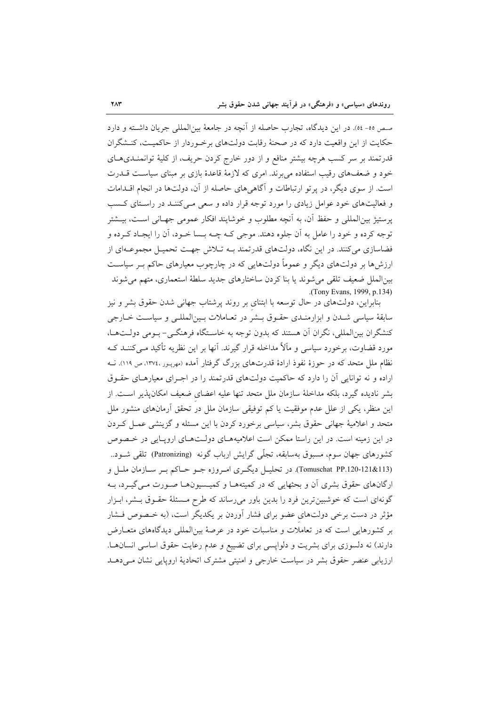صص ٥٥- ٥٤). در اين ديدگاه، تجارب حاصله از آنچه در جامعهٔ بين|لمللي جريان داشـته و دارد حکایت از این واقعیت دارد که در صحنهٔ رقابت دولتهای برخوردار از حاکمیت، کنـشگران قدرتمند بر سر کسب هرچه بیشتر منافع و از دور خارج کردن حریف، از کلیهٔ توانمنــدیهــای خود و ضعفهای رقیب استفاده می برند. امری که لازمهٔ قاعدهٔ بازی بر مبنای سیاست قـــدرت است. از سوی دیگر، در پر تو ارتباطات و آگاهی های حاصله از آن، دولتها در انجام اقـدامات و فعالیتهای خود عوامل زیادی را مورد توجه قرار داده و سعی مـی کننـد در راسـتای کـسب پرستیژ بینالمللی و حفظ آن، به آنچه مطلوب و خوشایند افکار عمومی جهـانی اسـت، بیــشتر توجه کرده و خود را عامل به آن جلوه دهند. موجی کـه چـه بــسا خـود، آن را ایجـاد کـرده و فضاسازی می کنند. در این نگاه، دولتهای قدرتمند بـه تـلاش جهـت تحمیـل مجموعـهای از ارزش ها بر دولتهای دیگر و عموماً دولتهایی که در چارچوب معیارهای حاکم بـر سیاسـت بين|لملل ضعيف تلقى مى شوند يا بنا كردن ساختارهاى جديد سلطة استعمارى، متهم مى شوند .(Tony Evans, 1999, p.134)

بنابراین، دولتهای در حال توسعه با ابتنای بر روند پرشتاب جهانی شدن حقوق بشر و نیز سابقهٔ سیاسی شـدن و ابزارمنـدی حقـوق بـشر در تعـاملات بـین|لمللـی و سیاسـت خـارجی كنشگران بينالمللي، نگران آن هستند كه بدون توجه به خاسـتگاه فرهنگـي- بـومي دولـتهـا، مورد قضاوت، برخورد سیاسی و ماَلاً مداخله قرار گیرند. اَنها بر این نظریه تأکید مـی کننــد کــه نظام ملل متحد که در حوزهٔ نفوذ ارادهٔ قدرتهای بزرگ گرفتار آمده (مهربـور ،١٣٧٤، ص ١١٩). نــه اراده و نه توانایی آن را دارد که حاکمیت دولتهای قدرتمند را در اجـرای معیارهـای حقـوق بشر نادیده گیرد، بلکه مداخلهٔ سازمان ملل متحد تنها علیه اعضای ضعیف امکانپذیر اسـت. از این منظر، یکی از علل عدم موفقیت یا کم توفیقی سازمان ملل در تحقق آرمانهای منشور ملل متحد و اعلامیهٔ جهانی حقوق بشر، سیاسی برخورد کردن با این مسئله و گزینشی عمـل کـردن در این زمینه است. در این راستا ممکن است اعلامیههـای دولـتهـای اروپـایی در خـصوص کشورهای جهان سوم، مسبوق بهسابقه، تجلّی گرایش ارباب گونه (Patronizing) تلقی شــود.. (Tomuschat PP.120-121&113). در تحليـل ديگـري امـروزه جـو حـاكم بـر سـازمان ملـل و ارگانهای حقوق بشری اَن و بحثهایی که در کمیتههـا و کمیـسیونهـا صـورت مـی گیـرد، بـه گونهای است که خوشبین ترین فرد را بدین باور می رساند که طرح مـسئلهٔ حقـوق بــشر، ابـزار مؤثر در دست برخی دولتهای عضو برای فشار آوردن بر یکدیگر است، (به خـصوص فـشار بر کشورهایی است که در تعاملات و مناسبات خود در عرصهٔ بین المللی دیدگاههای متعـارض دارند) نه دلسوزی برای بشریت و دلوایسی برای تضییع و عدم رعایت حقوق اساسی انسان ها. ارزیابی عنصر حقوق بشر در سیاست خارجی و امنیتی مشترک اتحادیهٔ اروپایی نشان مـی۵هــد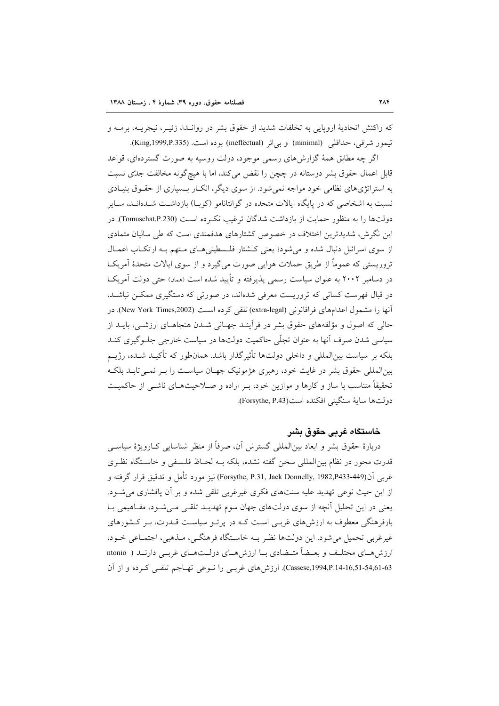که واکنش اتحادیهٔ اروپایی به تخلفات شدید از حقوق بشر در روانـدا، زئیــر، نیجریــه، برمــه و تيمور شرقي، حداقلي (minimal) و بي|ثر (ineffectual) بوده است. (King,1999,P.335).

اگر چه مطابق همهٔ گزارشهای رسمی موجود، دولت روسیه به صورت گستردهای، قواعد قابل اعمال حقوق بشر دوستانه در چچن را نقض می کند، اما با هیچگونه مخالفت جدّی نسبت به استراتژیهای نظامی خود مواجه نمی شود. از سوی دیگر، انکـار بـسیاری از حقـوق بنیـادی نسبت به اشخاصی که در پایگاه ایالات متحده در گوانتانامو (کوب) بازداشت شـدهانـد، سـایر دولتها را به منظور حمایت از بازداشت شدگان ترغیب نکـرده اسـت (Tomuschat.P.230). در این نگرش، شدیدترین اختلاف در خصوص کشتارهای هدفمندی است که طی سالیان متمادی از سوی اسرائیل دنبال شده و می شود؛ یعنی کشتار فلـسطینی هـای مـتهم بـه ارتکـاب اعمـال تروریستی که عموماً از طریق حملات هوایی صورت می گیرد و از سوی ایالات متحدهٔ آمریکـا در دسامبر ۲۰۰۲ به عنوان سیاست رسمی پذیرفته و تأیید شده است (همان) حتی دولت آمریکیا در قبال فهرست کسانی که تروریست معرفی شدهاند، در صورتی که دستگیری ممکـن نباشـد. آنها را مشمول اعدامهای فراقانونی (extra-legal) تلقی کرده است (New York Times,2002). در حالی که اصول و مؤلفههای حقوق بشر در فرأینـد جهـانی شـدن هنجاهـای ارزشـی، بایــد از سیاسی شدن صرف اّنها به عنوان تجلّی حاکمیت دولتها در سیاست خارجی جلـوگیری کنـد بلکه بر سیاست بین|لمللی و داخلی دولتها تأثیرگذار باشد. همانطور که تأکیـد شـده، رژیــم بینالمللی حقوق بشر در غایت خود، رهبری هژمونیک جهـان سیاسـت را بـر نمـیتابـد بلکـه تحقیقاً متناسب با ساز و کارها و موازین خود، بـر اراده و صـلاحیتهـای ناشـی از حاکمیـت دولت ها ساية سنگيني افكنده است(Forsythe, P.43).

### خاستگاه غربي حقوق بشر

دربارهٔ حقوق بشر و ابعاد بین|لمللی گسترش آن، صرفاً از منظر شناسایی کـارویژهٔ سیاســی قدرت محور در نظام بینالمللی سخن گفته نشده، بلکه بـه لحـاظ فلـسفی و خاسـتگاه نظـری غربي أن(Forsythe, P.31, Jaek Donnelly, 1982,P433-449) نيز مورد تأمل و تدقيق قرار گرفته و از این حیث نوعی تهدید علیه سنتهای فکری غیرغربی تلقی شده و بر آن پافشاری می شود. یعنی در این تحلیل أنچه از سوی دولتهای جهان سوم تهدیـد تلقـبی مـیشـود، مفـاهیمی بـا بارفرهنگی معطوف به ارزشهای غربـی اسـت کـه در پرتـو سیاسـت قــدرت، بـر کـشورهای غیرغربی تحمیل می شود. این دولتها نظیر بـه خاسـتگاه فرهنگـی، مـذهبی، اجتمـاعی خـود، ارزش هـاي مختلـف و بعــضأ متــضادي بــا ارزش هــاي دولــت هــاي غربــي دارنــد ( ntonio Cassese,1994,P.14-16,51-54,61-63). ارزش های غربے را نـوعی تھـاجم تلقـی کـرده و از آن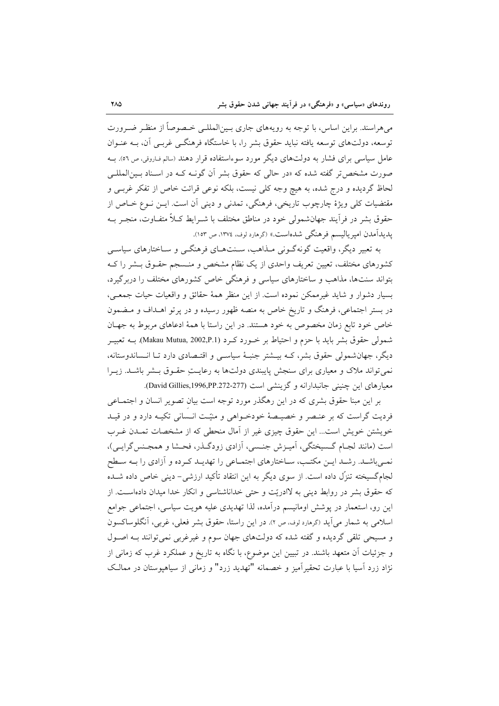میهراسند. براین اساس، با توجه به رویههای جاری بـینالمللـی خـصوصاً از منظـر ضـرورت توسعه، دولتهای توسعه یافته نباید حقوق بشر را، با خاستگاه فرهنگــی غربــی آن، بــه عنــوان عامل سیاسی برای فشار به دولتهای دیگر مورد سوءاستفاده قرار دهند (سالم فاروقی، ص ٥٦). بـه صورت مشخص تر گفته شده که «در حالی که حقوق بشر آن گونــه کــه در اســناد بــین|لمللــی لحاظ گردیده و درج شده، به هیچ وجه کلی نیست، بلکه نوعی قرائت خاص از تفکر غربـی و مقتضیات کلی ویژهٔ چارچوب تاریخی، فرهنگی، تمدنی و دینی آن است. ایــن نــوع خــاص از حقوق بشر در فرأيند جهانشمولي خود در مناطق مختلف با شـرايط كـلاً متفـاوت، منجـر بـه يديدآمدن اميرياليسم فرهنگي شدهاست.» (گرهارد لوف، ١٣٧٤، ص ١٥٣).

به تعبیر دیگر، واقعیت گونهگـونی مـذاهب، سـنتهـای فرهنگـی و سـاختارهای سیاسـی کشورهای مختلف، تعیین تعریف واحدی از یک نظام مشخص و منـسجم حقـوق بـشر را کـه بتواند سنتها، مذاهب و ساختارهای سیاسی و فرهنگی خاص کشورهای مختلف را دربرگیرد، بسیار دشوار و شاید غیرممکن نموده است. از این منظر همهٔ حقائق و واقعیات حیات جمعـی، در بستر اجتماعی، فرهنگ و تاریخ خاص به منصه ظهور رسیده و در پرتو اهـداف و مـضمون خاص خود تابع زمان مخصوص به خود هستند. در این راستا با همهٔ ادعاهای مربوط به جهـان شمولي حقوق بشر بايد با حزم و احتياط بر خــورد كــرد (Makau Mutua, 2002,P.1). بــه تعبيــر دیگر، جهانشمولی حقوق بشر، کـه بیــشتر جنبـهٔ سیاســی و اقتـصادی دارد تــا انــساندوستانه، نمی تواند ملاک و معیاری برای سنجش پایبندی دولتها به رعایـتِ حقـوق بـشر باشـد. زیـرا معيارهاي اين چنيني جانبدارانه و گزينشي است (David Gillies,1996,PP.272-277).

بر این مبنا حقوق بشری که در این رهگذر مورد توجه است بیان تصویر انسان و اجتمـاعی فردیت گراست که بر عنـصر و خصیـصهٔ خودخـواهی و منیّـت انـسانی تکیـه دارد و در قیـد خویشتن خویش است... این حقوق چیزی غیر از آمال منحطی که از مشخصات تمـدن غـرب است (مانند لجـام گـسيختگي، آميـزش جنـسي، آزادي زودگـذر، فحـشا و همجـنس گرايـي)، نمـیباشـد. رشـد ایـن مکتـب، سـاختارهای اجتمـاعی را تهدیـد کـرده و آزادی را بـه سـطح لجامگسیخته تنزّل داده است. از سوی دیگر به این انتقاد تأکید ارزشی- دینی خاص داده شــده که حقوق بشر در روابط دینی به لاادریّت و حتی خداناشناسی و انکار خدا میدان دادهاست. از این رو، استعمار در پوشش اومانیسم درآمده، لذا تهدیدی علیه هویت سیاسی، اجتماعی جوامع اسلامی به شمار می آید (گرمارد لوف، ص ٢). در این راستا، حقوق بشر فعلی، غربی، آنگلوساکسون و مسیحی تلقی گردیده و گفته شده که دولتهای جهان سوم و غیرغربی نمی توانند بـه اصـول و جزئیات آن متعهد باشند. در تبیین این موضوع، با نگاه به تاریخ و عملکرد غرب که زمانی از نژاد زرد آسیا با عبارت تحقیرآمیز و خصمانه "تهدید زرد" و زمانی از سیاهپوستان در ممالک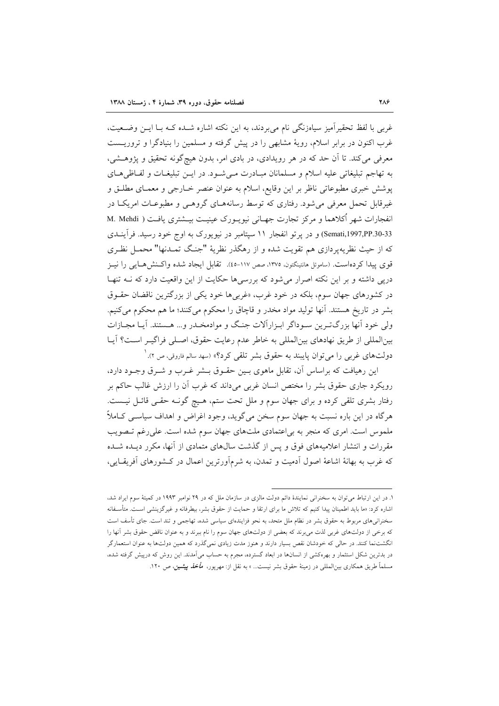غربی با لفظ تحقیرآمیز سیاهزنگی نام میبردند، به این نکته اشاره شـده کـه بـا ایـن وضـعیت، غرب اکنون در برابر اسلام، رویهٔ مشابهی را در پیش گرفته و مسلمین را بنیادگرا و تروریـست معرفی می کند. تا آن حد که در هر رویدادی، در بادی امر، بدون هیچگونه تحقیق و پژوهـشی، به تهاجم تبلیغاتی علیه اسلام و مسلمانان مبـادرت مـیشـود. در ایــن تبلیغــات و لفــاظی۵ـای پوشش خبری مطبوعاتی ناظر بر این وقایع، اسلام به عنوان عنصر خـارجی و معمـای مطلـق و غیرقابل تحمل معرفی می شود. رفتاری که توسط رسانههـای گروهـی و مطبوعـات امریکـا در انفجارات شهر أكلاهما و مركز تجارت جهـاني نيويــورک عينيــت بيــشتري يافـت ( M. Mehdi Semati,1997,PP.30-33) و در پرتو انفجار ۱۱ سپتامبر در نیویورک به اوج خود رسید. فرآینـدی که از حیث نظریهپردازی هم تقویت شده و از رهگذر نظریهٔ "جنگ تمـدنها" محمـل نظـری قوى پيدا كردهاست. (ساموئل هانتينگتون، ١٣٧٥، صص ١١٧-ه٤). تقابل ايجاد شده واكـنش هــايي را نيــز دریی داشته و بر این نکته اصرار می شود که بررسی ها حکایت از این واقعیت دارد که نــه تنهـا در کشورهای جهان سوم، بلکه در خود غرب، «غربی۵ خود یکی از بزرگترین ناقضان حقـوق بشر در تاریخ هستند. آنها تولید مواد مخدر و قاچاق را محکوم میکنند؛ ما هم محکوم میکنیم. ولي خود أنها بزرگترين سـوداگر ابـزاراًلات جنـگ و موادمخـدر و... هـستند. آيـا مجـازات بینالمللی از طریق نهادهای بینالمللی به خاطر عدم رعایت حقوق، اصلی فراگیـر اسـت؟ آیـا دولتهای غربی را می توان پایبند به حقوق بشر تلقی کرد؟» (سهد سالم فاروقی، ص ۲). <sup>۱</sup>

این رهیافت که براساس آن، تقابل ماهوی بـین حقـوق بـشر غـرب و شـرق وجـود دارد، رویکرد جاری حقوق بشر را مختص انسان غربی میداند که غرب آن را ارزش غالب حاکم بر رفتار بشری تلقی کرده و برای جهان سوم و ملل تحت ستم، هـیچ گونـه حقـی قائـل نیـست. هرگاه در این باره نسبت به جهان سوم سخن میگوید، وجود اغراض و اهداف سیاسـی کــاملاً ملموس است. امری که منجر به بی اعتمادی ملتهای جهان سوم شده است. علی رغم تـصویب مقررات و انتشار اعلامیههای فوق و پس از گذشت سال\$ای متمادی از آنها، مکرر دیـده شـده که غرب به بهانهٔ اشاعهٔ اصول آدمیت و تمدن، به شرمآورترین اعمال در کـشورهای آفریقـایی،

۱. در این ارتباط می توان به سخنرانی نمایندهٔ دائم دولت مالزی در سازمان ملل که در ۲۹ نوامبر ۱۹۹۳ در کمیتهٔ سوم ایراد شد، اشاره کرد: «ما باید اطمینان پیدا کنیم که تلاش ما برای ارتقا و حمایت از حقوق بشر، بیطرفانه و غیرگزینشی است. متأسفانه سخنرانیهای مربوط به حقوق بشر در نظام ملل متحد، به نحو فزایندهای سیاسی شده، تهاجمی و تند است. جای تأسف است که برخی از دولتهای غربی لذت می برند که بعضی از دولتهای جهان سوم را نام ببرند و به عنوان ناقض حقوق بشر آنها را انگشتنما کنند. در حالی که خودشان نقص بسیار دارند و هنوز مدت زیادی نمیگذرد که همین دولتها به عنوان استعمارگر در بدترین شکل استثمار و بهرهکشی از انسانها در ابعاد گسترده، مجرم به حساب میآمدند. این روش که درپیش گرفته شده، مسلماً طریق همکاری بینالمللی در زمینهٔ حقوق بشر نیست... » به نقل از: مهرپور، *مأخذ پیشین، ص* ۱۲۰.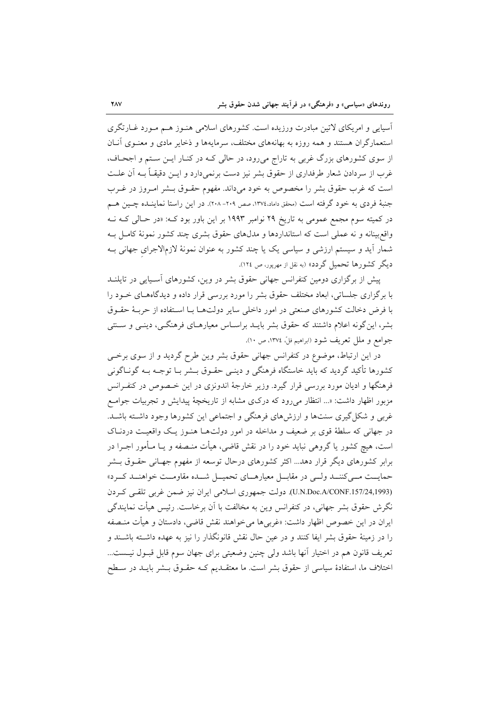آسیایی و امریکای لاتین مبادرت ورزیده است. کشورهای اسلامی هنـوز هــم مـورد غــارتگری استعمارگران هستند و همه روزه به بهانههای مختلف، سرمایهها و ذخایر مادی و معنـوی آنــان از سوی کشورهای بزرگ غربی به تاراج میرود، در حالی کـه در کنـار ایـن سـتم و اجحـاف، غرب از سردادن شعار طرفداری از حقوق بشر نیز دست برنمیدارد و ایــن دقیقــاً بــه آن علــت است كه غرب حقوق بشر را مخصوص به خود مىداند. مفهوم حقــوق بــشر امــروز در غــرب جنبهٔ فردی به خود گرفته است (محقق داماد،۱۳۷٤، صص ۲۰۹– ۲۰۸). در این راستا نماینــده چــین هــم در کمیته سوم مجمع عمومی به تاریخ ۲۹ نوامبر ۱۹۹۳ بر این باور بود که: «در حـالی کـه فـه واقع بینانه و نه عملی است که استانداردها و مدلهای حقوق بشری چند کشور نمونهٔ کامـل بـه شمار آید و سیستم ارزشی و سیاسی یک یا چند کشور به عنوان نمونهٔ لازمالاجرای جهانی بـه دیگر کشورها تحمیل گردد» (به نقل از مهربور، ص ١٢٤).

پیش از برگزاری دومین کنفرانس جهانی حقوق بشر در وین، کشورهای آسـیایی در تایلنــد با برگزاری جلساتی، ابعاد مختلف حقوق بشر را مورد بررسی قرار داده و دیدگاههـای خــود را با فرض دخالت کشورهای صنعتی در امور داخلی سایر دولتها بـا اسـتفاده از حربـهٔ حقـوق بشر، این گونه اعلام داشتند که حقوق بشر بایــد براسـاس معیارهــای فرهنگــی، دینــی و ســنتـی جوامع و ملل تعريف شود (ابراهيم فلِّ، ١٣٧٤، ص ١٠).

در این ارتباط، موضوع در کنفرانس جهانی حقوق بشر وین طرح گردید و از سوی برخبی کشورها تأکید گردید که باید خاستگاه فرهنگی و دینـی حقـوق بــشر بــا توجــه بــه گونــاگونی فرهنگها و ادیان مورد بررسی قرار گیرد. وزیر خارجهٔ اندونزی در این خـصوص در کنفـرانس مزبور اظهار داشت: «... انتظار میرود که درکوی مشابه از تاریخچهٔ پیدایش و تجربیات جوامع غربی و شکل گیری سنتها و ارزشهای فرهنگی و اجتماعی این کشورها وجود داشته باشـد. در جهانی که سلطهٔ قوی بر ضعیف و مداخله در امور دولتها هنـوز یـک واقعیـت دردنـاک است، هیچ کشور یا گروهی نباید خود را در نقش قاضی، هیأت منـصفه و یــا مـأمور اجــرا در برابر کشورهای دیگر قرار دهد... اکثر کشورهای درحال توسعه از مفهوم جهـانی حقــوق بــشر حمایــت مــیکننــد ولــی در مقابــل معیارهــای تحمیــل شــده مقاومــت خواهنــد کــرد» (U.N.Doc.A/CONF.157/24,1993). دولت جمهوري اسلامي ايران نيز ضمن غربي تلقى كردن نگرش حقوق بشر جهانی، در کنفرانس وین به مخالفت با آن برخاست. رئیس هیأت نمایندگی ایران در این خصوص اظهار داشت: «غربیها می خواهند نقش قاضی، دادستان و هیأت منـصفه را در زمینهٔ حقوق بشر ایفا کنند و در عین حال نقش قانونگذار را نیز به عهده داشـته باشـند و تعريف قانون هم در اختيار آنها باشد ولي چنين وضعيتي براي جهان سوم قابل قبـول نيـست... اختلاف ما، استفادهٔ سیاسی از حقوق بشر است. ما معتقـدیم کـه حقـوق بـشر بایـد در سـطح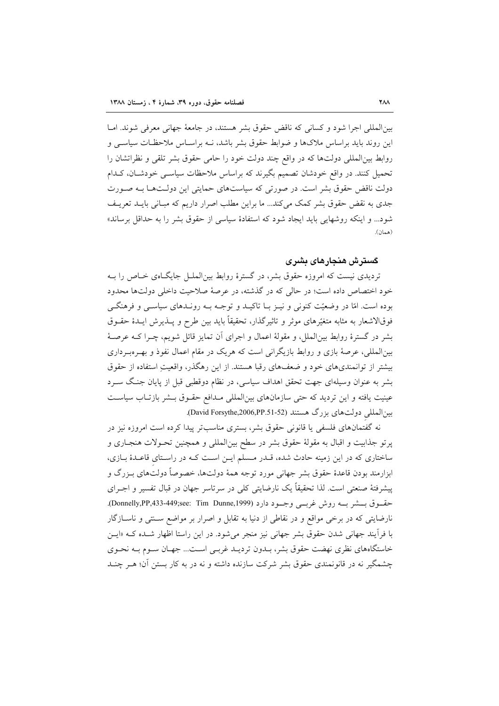بین المللی اجرا شود و کسانی که ناقض حقوق بشر هستند، در جامعهٔ جهانی معرفی شوند. امـا این روند باید براساس ملاکها و ضوابط حقوق بشر باشد، نــه براســاس ملاحظــات سیاســی و روابط بین|لمللی دولتها که در واقع چند دولت خود را حامی حقوق بشر تلقی و نظراتشان را تحمیل کنند. در واقع خودشان تصمیم بگیرند که براساس ملاحظات سیاسـی خودشـان، کـدام دولت ناقض حقوق بشر است. در صورتی که سیاستهای حمایتی این دولـتهـا بـه صـورت جدی به نقض حقوق بشر کمک میکند... ما براین مطلب اصرار داریم که مبـانی بایـد تعریـف شود... و اینکه روشهایی باید ایجاد شود که استفادهٔ سیاسی از حقوق بشر را به حداقل برساند» (همان).

#### گسترش هنجارهای بشری

تردیدی نیست که امروزه حقوق بشر، در گسترهٔ روابط بینالملل جایگاهی خـاص را بـه خود اختصاص داده است؛ در حالي كه در گذشته، در عرصهٔ صلاحیت داخلی دولتها محدود بوده است. امّا در وضعیّت کنونی و نیـز بـا تاکیـد و توجـه بـه رونـدهای سیاسـی و فرهنگـی فوقالاشعار به مثابه متغیّرهای موثر و تاثیرِگذار، تحقیقاً باید بین طرح و پــذیرش ایــدهٔ حقــوق بشر در گسترهٔ روابط بینِالملل، و مقولهٔ اعمال و اجرای آن تمایز قائل شویم، چـرا کـه عرصـهٔ بینالمللی، عرصهٔ بازی و روابط بازیگرانی است که هریک در مقام اعمال نفوذ و بهـرهبـرداری بیشتر از توانمندیهای خود و ضعفهای رقبا هستند. از این رهگذر، واقعیتِ استفاده از حقوق بشر به عنوان وسیلهای جهت تحقق اهداف سیاسی، در نظام دوقطبی قبل از پایان جنگ سـرد عینیت یافته و این تردید که حتی سازمانهای بینالمللی مـدافع حقـوق بـشر بازتـاب سیاسـت بین المللی دولت های بزرگ هستند (David Forsythe,2006,PP.51-52).

نه گفتمانهای فلسفی یا قانونی حقوق بشر، بستری مناسبتر پیدا کرده است امروزه نیز در پرتو جذابیت و اقبال به مقولهٔ حقوق بشر در سطح بین|لمللی و همچنین تحـولات هنجـاری و ساختاری که در این زمینه حادث شده، قـدر مـسلم ایـن اسـت کـه در راسـتای قاعـدهٔ بـازی، ابزارمند بودن قاعدهٔ حقوق بشر جهانی مورد توجه همهٔ دولتها، خصوصاً دولتهای بـزرگ و ييشرفتهٔ صنعتي است. لذا تحقيقاً يک نارضايتي کلي در سرتاسر جهان در قبال تفسير و اجـراي حقوق بسشر بــه روش غربـــی وجــود دارد (Donnelly,PP,433-449;see: Tim Dunne,1999). نارضایتی که در برخی مواقع و در نقاطی از دنیا به تقابل و اصرار بر مواضع سـنتی و ناســازگار با فرآیند جهانی شدن حقوق بشر جهانی نیز منجر می شود. در این راستا اظهار شـده کـه «ایـن خاستگاههای نظری نهضت حقوق بشر، بـدون تردیـد غربـی اسـت... جهـان سـوم بـه نحـوی چشمگیر نه در قانونمندی حقوق بشر شرکت سازنده داشته و نه در به کار بستن آن؛ هـر چنـد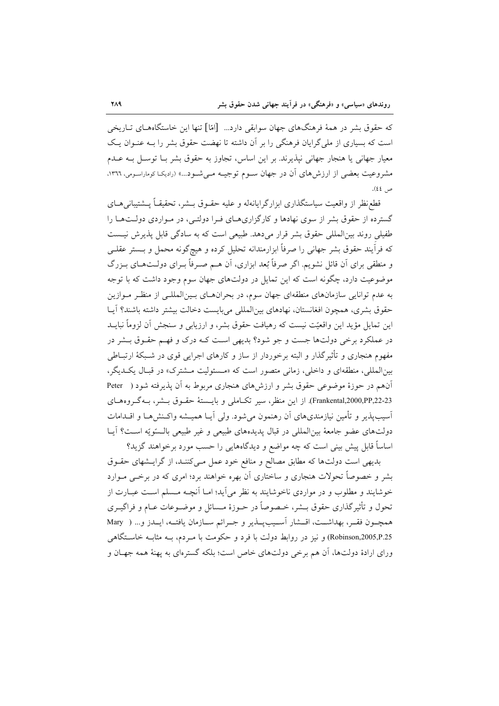که حقوق بشر در همهٔ فرهنگهای جهان سوابقی دارد... [امّا] تنها این خاستگاههـای تــاریخی است که بسیاری از ملی گرایان فرهنگی را بر آن داشته تا نهضت حقوق بشر را بـه عنـوان یـک معیار جهانی یا هنجار جهانی نیذیرند. بر این اساس، تجاوز به حقوق بشر بـا توسـل بـه عـدم مشروعیت بعضی از ارزش های آن در جهان سـوم توجیـه مـیشـود...» (رادیکـا کوماراسـومی، ١٣٦٦، ص ٤٤).

قطع نظر از واقعیت سیاستگذاری ابزارگرایانهاه و علیه حقـوق بــشر، تحقیقــاً پــشتیبانی۵حــای گسترده از حقوق بشر از سوی نهادها و کارگزاریهـای فـرا دولتـی، در مـواردی دولـتهـا را طفیلی روند بین|لمللی حقوق بشر قرار می دهد. طبیعی است که به سادگی قابل پذیرش نیست که فرآیند حقوق بشر جهانی را صرفاً ابزارمندانه تحلیل کرده و هیچگونه محمل و بــستر عقلــی و منطقی برای آن قائل نشویم. اگر صرفاً بُعد ابزاری، اَن هــم صـرفاً بــرای دولــتهــای بــزرگ موضوعیت دارد، چگونه است که این تمایل در دولتهای جهان سوم وجود داشت که با توجه به عدم توانایی سازمانهای منطقهای جهان سوم، در بحرانهای بسینالمللـی از منظـر مـوازین حقوق بشرى، همچون افغانستان، نهادهاى بين المللي مىبايست دخالت بيشتر داشته باشند؟ آيـا این تمایل مؤید این واقعیّت نیست که رهیافت حقوق بشر، و ارزیابی و سنجش آن لزوماً نبایــد در عملکرد برخی دولتها جست و جو شود؟ بدیهی است کـه درک و فهـم حقـوق بــشر در مفهوم هنجاري و تأثیرگذار و البته برخوردار از ساز و کارهاي اجرايي قوي در شـبکهٔ ارتبــاطي بین المللی، منطقهای و داخلی، زمانی متصور است که «مسئولیت مشترک» در قبال یک دیگر، آنهم در حوزهٔ موضوعی حقوق بشر و ارزشهای هنجاری مربوط به آن پذیرفته شود ( Peter Frankental,2000,PP,22-23). از این منظر، سبر تکـاملی و بایـستهٔ حقـوق بـشر، بـهگـروههـای آسيب،يذير و تأمين نيازمنديهاي آن رهنمون مي شود. ولي آيــا هميـــشه واكــنش٨هــا و اقـــدامات دولتهاي عضو جامعهٔ بين|لمللي در قبال پديدههاي طبيعي و غير طبيعي بالـسوّيّه اسـت؟ آيـا اساساً قابل پیش بینی است که چه مواضع و دیدگاههایی را حسب مورد برخواهند گزید؟

بدیهی است دولتها که مطابق مصالح و منافع خود عمل مـیکننـد، از گرایـشهای حقـوق بشر و خصوصاً تحولات هنجاری و ساختاری آن بهره خواهند برد؛ امری که در برخـی مــوارد خوشایند و مطلوب و در مواردی ناخوشایند به نظر می آید؛ امـا آنچــه مـسلم اسـت عبـارت از تحول و تأثیر گذاری حقوق بــشر، خــصوصاً در حــوزهٔ مــسائل و موضــوعات عــام و فراگیــری همچـون فقـر، بهداشــت، اقــشار أســيبِيــذير و جــرائم ســازمان يافتــه، ايــدز و... ( Mary Robinson,2005,P.25) و نیز در روابط دولت با فرد و حکومت با مـردم، بــه مثابــه خاســتگاهـي ورای ارادهٔ دولتها، آن هم برخی دولتهای خاص است؛ بلکه گسترمای به یهنهٔ همه جهـان و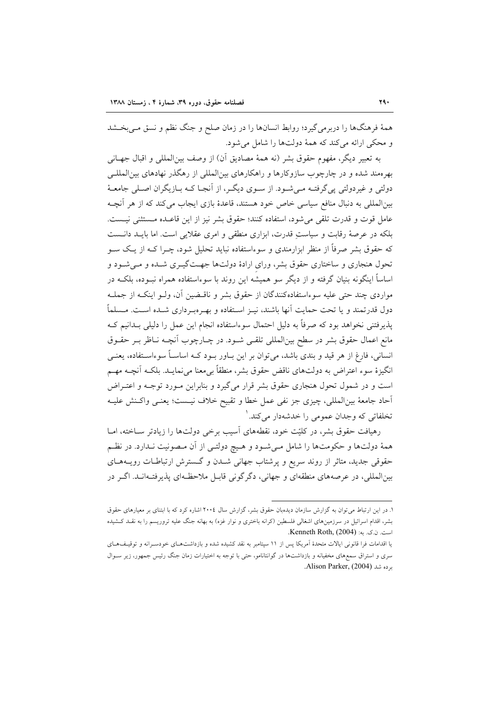همهٔ فرهنگها را دربرمیگیرد؛ روابط انسانها را در زمان صلح و جنگ نظم و نسق مـیبخـشد و محکي ارائه مي کند که همهٔ دولتها را شامل مي شود.

به تعبير ديگر، مفهوم حقوق بشر (نه همهٔ مصاديق آن) از وصف بين|لمللي و اقبال جهــانـي بهرهمند شده و در چارچوب سازوکارها و راهکارهای بین|لمللی از رهگذر نهادهای بین|لمللـی دولتي و غيردولتي يي گرفتــه مــي شــود. از ســوي ديگــر، از آنجــا كــه بــازيگران اصــلي جامعــهٔ بینالمللی به دنبال منافع سیاسی خاص خود هستند، قاعدهٔ بازی ایجاب میکند که از هر آنچـه عامل قوت و قدرت تلقى مى شود، استفاده كنند؛ حقوق بشر نيز از اين قاعـده مـستثنى نيـست. بلکه در عرصهٔ رقابت و سیاست قدرت، ابزاری منطقی و امری عقلایی است. اما بایـد دانـست که حقوق بشر صرفاً از منظر ابزارمندی و سوءاستفاده نباید تحلیل شود، چـرا کــه از یــک ســو تحول هنجاری و ساختاری حقوق بشر، ورای ارادهٔ دولتها جهتگیـری شـده و مـیشـود و اساساً اینگونه بنیان گرفته و از دیگر سو همیشه این روند با سوءاستفاده همراه نبـوده، بلکـه در مواردي چند حتى عليه سوءاستفادهكنندگان از حقوق بشر و ناقـضين آن، ولــو اينكــه از جملــه دول قدرتمند و یا تحت حمایت آنها باشند، نیـز اسـتفاده و بهـرهبـرداری شــده اســت. مــسلماً پذیرفتنی نخواهد بود که صرفاً به دلیل احتمال سوءاستفاده انجام این عمل را دلیلی بـدانیم کـه مانع اعمال حقوق بشر در سطح بین|لمللی تلقـی شـود. در چـارچوب آنچـه نـاظر بـر حقـوق انسانی، فارغ از هر قید و بندی باشد، میتوان بر این بـاور بـود کـه اساسـاً سوءاسـتفاده، یعنـی انگیزهٔ سوء اعتراض به دولتهای ناقض حقوق بشر، منطقاً بیαمنا میٖنمایـد. بلکـه آنچـه مهـم است و در شمول تحول هنجاری حقوق بشر قرار میگیرد و بنابراین مـورد توجـه و اعتـراض أحاد جامعهٔ بین|لمللی، چیزی جز نفی عمل خطا و تقبیح خلاف نیـست؛ یعنـی واکـنش علیـه تخلفاتي كه وجدان عمومي را خدشهدار ميكند. `

رهیافت حقوق بشر، در کلیّت خود، نقطههای آسیب برخی دولتها را زیادتر سـاخته، امـا همهٔ دولتها و حکومتها را شامل مـیشـود و هـیچ دولتـی از آن مـصونیت نـدارد. در نظـم حقوقی جدید، متاثر از روند سریع و پرشتاب جهانی شـدن و گـسترش ارتباطـات رویـههـای بین|لمللی، در عرصههای منطقهای و جهانی، دگر گونی قابـل ملاحظـهای پذیرفتـهانـد. اگـر در

۱. در این ارتباط می توان به گزارش سازمان دیدهبان حقوق بشر، گزارش سال ۲۰۰٤ اشاره کرد که با ابتنای بر معیارهای حقوق بشر، اقدام اسرائیل در سرزمینهای اشغالی فلسطین (کرانه باختری و نوار غزه) به بهانه جنگ علیه تروریسم را به نقـد کـشیده است. ن.ک. به: Kenneth Roth, (2004).

یا اقدامات فرا قانونی ایالات متحدهٔ آمریکا پس از ۱۱ سپتامبر به نقد کشیده شده و بازداشتهای خودسـرانه و توقیـفهـای سری و استراق سمعهای مخفیانه و بازداشتها در گوانتانامو، حتی با توجه به اختیارات زمان جنگ رئیس جمهور، زیر سـوال برده شد (Alison Parker, (2004.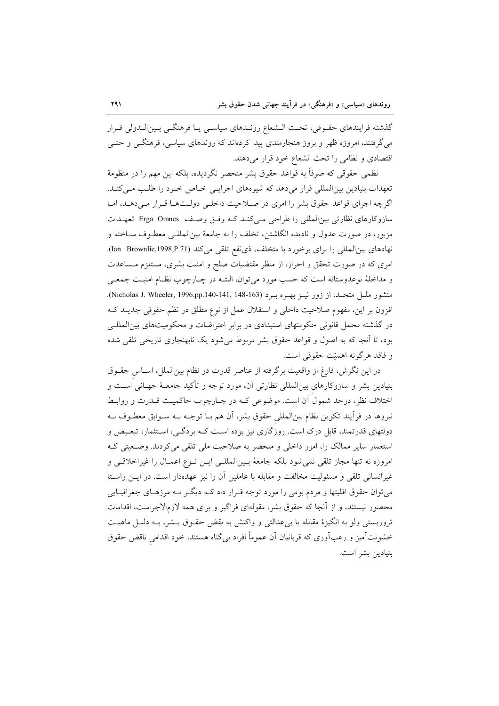گذشته فرایندهای حقـوقی، تحـت الـشعاع رونـدهای سیاسـی یـا فرهنگـی بـینالـدولی قـرار می گرفتند، امروزه ظهر و بروز هنجارمندی پیدا کردهاند که روندهای سیاسی، فرهنگــی و حتــی اقتصادي ونظامي را تحت الشعاع خود قرار مي دهند.

نظمی حقوقی که صرفاً به قواعد حقوق بشر منحصر نگردیده، بلکه این مهم را در منظومهٔ تعهدات بنیادین بینالمللی قرار میدهد که شیوههای اجرایی خاص خود را طلب می کنـد. اگرچه اجرای قواعد حقوق بشر را امری در صلاحیت داخلـی دولـتهـا قـرار مـیدهـد، امـا سازوكارهاي نظارتي بين المللي را طراحي مبي كنـد كـه وفـق وصـف Erga Omnes تعهـدات مزبور، در صورت عدول و نادیده انگاشتن، تخلف را به جامعهٔ بینالمللـی معطـوف ســاخته و نهادهای بین المللی را برای برخورد با متخلف، ذی نفع تلقی می کند (Ian Brownlie,1998,P.71). امری که در صورت تحقق و احراز، از منظر مقتضیات صلح و امنیت بشری، مستلزم مـساعدت و مداخلهٔ نوعدوستانه است که حسب مورد میٍ توان، البتـه در چـارچوب نظـام امنیــت جمعــی منشور ملــل متحــد، از زور نيــز بهــره بــرد (Nicholas J. Wheeler, 1996,pp.140-141, 148-163). افزون بر این، مفهوم صلاحیت داخلی و استقلال عمل از نوع مطلق در نظم حقوقی جدیــد کــه در گذشته محمل قانونی حکومتهای استبدادی در برابر اعتراضات و محکومیتهای بین المللـی بود، تا آنجا که به اصول و قواعد حقوق بشر مربوط می شود یک نابهنجاری تاریخی تلقی شده و فاقد هرگونه اهمیّت حقوقی است.

در این نگرش، فارغ از واقعیت برگرفته از عناصر قدرت در نظام بین الملل، اسـاس حقــوق بنیادین بشر و سازوکارهای بین|لمللی نظارتی آن، مورد توجه و تأکید جامعــهٔ جهــانی اســت و اختلاف نظر، درحد شمول آن است. موضوعی کـه در چـارچوب حاکمیـت قــدرت و روابـط نيروها در فرأيند تكوين نظام بين|لمللي حقوق بشر، أن هم بــا توجــه بــه ســوابق معطــوف بــه دولتهای قدرتمند، قابل درک است. روزگاری نیز بوده است کـه بردگـی، اسـتثمار، تبعـیض و استعمار سایر ممالک را، امور داخلی و منحصر به صلاحیت ملی تلقی می کردند. وضعیتی ک امروزه نه تنها مجاز تلقى نمى شود بلكه جامعهٔ بـينالمللـى ايـن نـوع اعمـال را غيراخلاقـى و غیرانسانی تلقی و مسئولیت مخالفت و مقابله با عاملین آن را نیز عهدهدار است. در ایـن راسـتا می توان حقوق اقلیتها و مردم بومی را مورد توجه قـرار داد کــه دیگـر بــه مرزهــای جغرافیــایی محصور نیستند، و از آنجا که حقوق بشر، مقولهای فراگیر و برای همه لازمالاجراست، اقدامات تروریستی ولو به انگیزهٔ مقابله با بیءدالتی و واکنش به نقض حقـوق بـشر، بـه دلیـل ماهیـت خشونتآمیز و رعبآوری که قربانیان آن عموماً افراد بی گناه هستند، خود اقدامی ناقض حقوق بنيادين بشر است.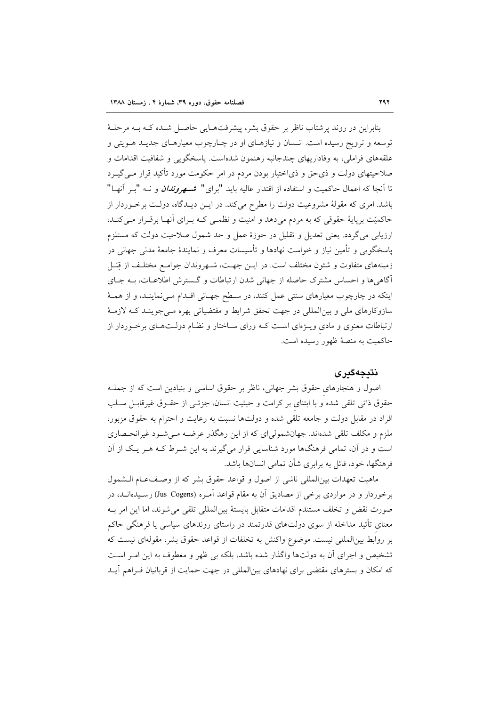بنابراین در روند پرشتاب ناظر بر حقوق بشر، پیشرفتهـایی حاصـل شـده کـه بـه مرحلـهٔ توسعه و ترویج رسیده است. انـسان و نیازهـای او در چـارچوب معیارهـای جدیـد هــویتی و علقههای فراملی، به وفاداریهای چندجانبه رهنمون شدهاست. پاسخگویی و شفافیت اقدامات و صلاحیتهای دولت و ذی حق و ذیاختیار بودن مردم در امر حکومت مورد تأکید قرار مـی گیــرد تا آنجا که اعمال حاکمیت و استفاده از اقتدار عالیه باید "برای" ش*مهروندان و* نــه "بــر آنهـا" باشد. امری که مقولهٔ مشروعیت دولت را مطرح میکند. در ایــن دیــدگاه، دولــت برخــوردار از حاکمیّت برپایهٔ حقوقی که به مردم می دهد و امنیت و نظمـی کـه بـرای اَنهـا برقـرار مـی کنـد، ارزیابی می گردد. یعنی تعدیل و تقلیل در حوزهٔ عمل و حد شمول صلاحیت دولت که مستلزم پاسخگویی و تأمین نیاز و خواست نهادها و تأسیسات معرف و نمایندهٔ جامعهٔ مدنی جهانی در زمینههای متفاوت و شئون مختلف است. در ایــن جهـت، شــهروندان جوامــع مختلـف از قِبَــل آگاهی ها و احساس مشترک حاصله از جهانی شدن ارتباطات و گسترش اطلاعـات، بـه جـای اینکه در چارچوب معیارهای سنتی عمل کنند، در سطح جهـانی اقـدام مـیiماینـد، و از همـهٔ سازوکارهای ملی و بین|لمللی در جهت تحقق شرایط و مقتضیاتی بهره مـی جوینـد کـه لازمـهٔ ارتباطات معنوی و مادی ویــژهای اسـت کــه ورای ســاختار و نظــام دولــتهــای برخــوردار از حاکمیت به منصهٔ ظهور رسیده است.

## نتىجەگىر ي

اصول و هنجارهای حقوق بشر جهانی، ناظر بر حقوق اساسی و بنیادین است که از جملـه حقوق ذاتی تلقی شده و با ابتنای بر کرامت و حیثیت انسان، جزئـی از حقـوق غیرقابـل سـلب افراد در مقابل دولت و جامعه تلقی شده و دولتها نسبت به رعایت و احترام به حقوق مزبور، ملزم و مکلف تلقی شدهاند. جهانشمولی ای که از این رهگذر عرضـه مـی شـود غیرانحـصاری است و در آن، تمامی فرهنگها مورد شناسایی قرار میگیرند به این شـرط کـه هـر یـک از آن فرهنگها، خود، قائل به برابری شأن تمامی انسانها باشد.

ماهيت تعهدات بين المللي ناشي از اصول و قواعد حقوق بشر كه از وصف عـام الـشمول برخوردار و در مواردی برخی از مصادیق آن به مقام قواعد آمـره (Jus Cogens) رسـیدهانــد، در صورت نقض و تخلف مستندم اقدامات متقابل بايستهٔ بين|لمللي تلقى مى شوند، اما اين امر بـه معنای تأئید مداخله از سوی دولتهای قدرتمند در راستای روندهای سیاسی یا فرهنگی حاکم بر روابط بین المللی نیست. موضوع واکنش به تخلفات از قواعد حقوق بشر، مقولهای نیست که تشخیص و اجرای آن به دولتها واگذار شده باشد، بلکه بی ظهر و معطوف به این امـر اسـت که امکان و بسترهای مقتضی برای نهادهای بینالمللی در جهت حمایت از قربانیان فـراهم آیــد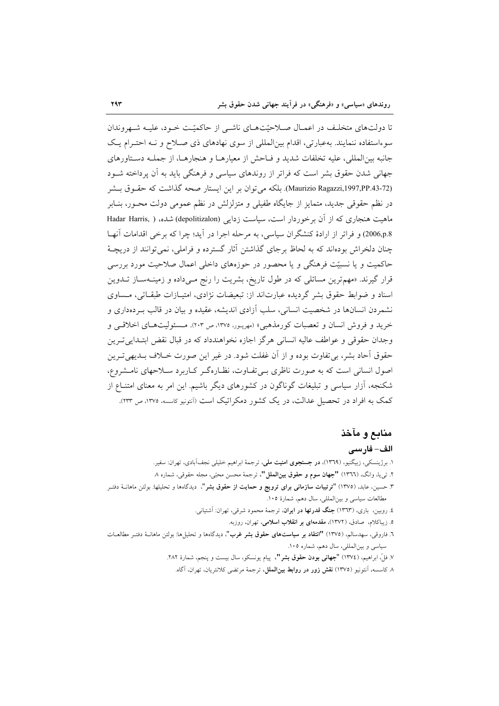تا دولتهای متخلّف در اعمـال صـلاحیّتهـای ناشـم از حاکمیّـت خـود، علیـه شـهروندان سوءاستفاده ننمایند. به عبارتی، اقدام بین المللی از سوی نهادهای ذی صـلاح و نــه احتـرام یـک جانبه بين المللي، عليه تخلفات شديد و فـاحش از معيارهـا و هنجارهـا، از جملـه دسـتاورهاى جهانی شدن حقوق بشر است که فراتر از روندهای سیاسی و فرهنگی باید به آن پرداخته شـود (Maurizio Ragazzi,1997,PP.43-72). بلكه مي توان بر اين ايستار صحه گذاشت كه حقـوق بـشر در نظم حقوقی جدید، متمایز از جایگاه طفیلی و متزلزلش در نظم عمومی دولت محـور، بنـابر ماهیت هنجاری که از آن برخوردار است، سیاست زدایی (depolitizalon) شده، ( Hadar Harris, 2006,p.8) و فراتر از ارادهٔ کنشگران سیاسی، به مرحله اجرا در آید؛ چرا که برخی اقدامات آنهـا چنان دلخراش بودهاند که به لحاظ برجای گذاشتن آثار گسترده و فراملی، نمی توانند از دریچـهٔ حاکمیت و یا نسبیّت فرهنگی و یا محصور در حوزههای داخلی اعمال صلاحیت مورد بررسی قرار گیرند. «مهمترین مسائلی که در طول تاریخ، بشریت را رنج مـیcاده و زمینــهســاز تــدوین اسناد و ضوابط حقوق بشر گردیده عبارتاند از: تبعیضات نژادی، امتیـازات طبقـاتی، مـساوی نشمردن انسانها در شخصیت انسانی، سلب آزادی اندیشه، عقیده و بیان در قالب بـردهداری و خرید و فروش انسان و تعصبات کورمذهبی» (مهرپور، ۱۳۷۵، ص ۲۰۳). مسئولیتهای اخلاقیی و وجدان حقوقي و عواطف عاليه انساني هرگز اجازه نخواهندداد كه در قبال نقض ابتـدايي تـرين حقوق آحاد بشر، بي تفاوت بوده و از آن غفلت شود. در غير اين صورت خــلاف بــديهي تــرين اصول انسانی است که به صورت ناظری بـیتفاوت، نظـارهگـر کـاربرد سـلاحهای نامـشروع، شکنجه، آزار سیاسی و تبلیغات گوناگون در کشورهای دیگر باشیم. این امر به معنای امتنـاع از کمک به افراد در تحصیل عدالت، در یک کشور دمکراتیک است (آنتونیو کاسسه، ۱۳۷۵، ص ۲۳۳).

## منابع و مآخذ الف– فارسى

- ۱. برژینسکی، زبیگنیو، (۱۳٦۹)، **در جستجوی امنیت ملی**، ترجمهٔ ابراهیم خلیل<sub>ی</sub> نجف**آبادی، تهران: سفیر.**
- ٢. تي يا، وانگ، (١٣٦٦) "جهان سوم و حقوق بينالملل"، ترجمهٔ محسن محبّى، مجله حقوقى، شماره ٨
- ۳. حسین، عابد، (۱۳۷۵) "ترتیبات **سازمان<sub>ی برا</sub>ی ترویج و حمایت از حقوق بشر**"، دیدگاهها و تحلیلها. بولتن ماهانــهٔ دفتــر مطالعات سیاسی و بینالمللی، سال دهم، شمارهٔ ۱۰۵.
	- ٤. روبین، باری، (١٣٦٣) **جنگ قدرتها در ایران**، ترجمهٔ محمود شرقی، تهران: آشتیانی.
		- ۵. زیباکلام، صادق، (۱۳۷۲)، مقدمهای بر انقلاب اسلامی، تهران، روزبه.
- ٦. فاروقی، سهدسالم، (١٣٧٥) "انتقاد بر **سیاستهای حقوق بشر غرب**"، دیدگاهها و تحلیلها: بولتن ماهانـهٔ دفتـر مطالعـات سیاسی و بینالمللی، سال دهم، شماره ۱۰۵.
	- ٧. فلِّ، ابراهيم، (١٣٧٤) **"جهاني بودن حقوق بشر "**، ييام يونسكو، سال بيست و ينجم، شمارة ٢٨٢.
		- ۸ کاسسه، آنتونیو (۱۳۷۵) **نقش زور در روابط بینالملل**، ترجمهٔ مرتضی کلانتریان، تهران، آگاه.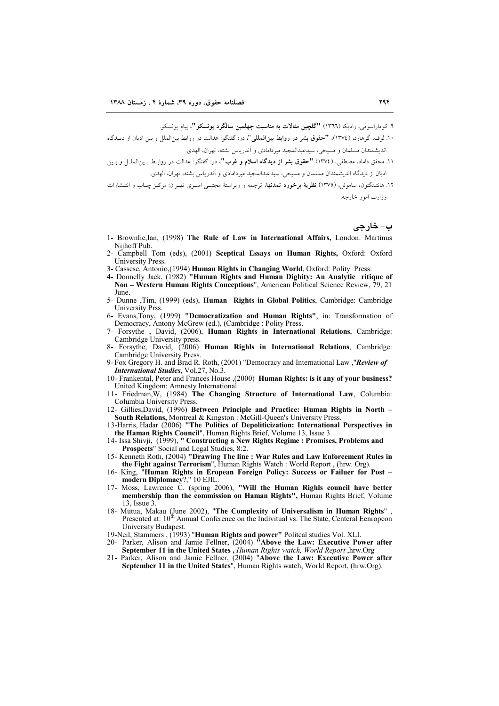۹. کوماراسومی، رادیکا (١٣٦٦) "گلچین مقالات به مناسبت چهلمین سالگرد بونسکو "، پیام بونسکو.

- ۰۱. لوف، گرهارد، (١٣٧٤)، **"حقوق بشر در روابط بین|لملل<sub>ی</sub>"**، در: گفتگو: عدالت در روابط بین|لملل و بین ادیان از دیــدگاه اندیشمندان مسلمان و مسیحی، سیدعبدالمجید میردامادی و آندریاس بشته، تهران، الهدی.
- .<br>١١. محقق داماد، مصطفى، (١٣٧٤) **"حقوق بشر از ديدگاه اسلام و غرب"**، در: گفتگو: عدالت در روابـط بــين|لملــل و بــين ادیان از دیدگاه اندیشمندان مسلمان و مسبحی، سیدعبدالمجید میردامادی و آندریاس بشته، تهران، الهدی.
- ۱۲. هانتینگتون، ساموئل، (۱۳۷۵) **نظریهٔ برخورد تمدنها**، ترجمه و ویراستهٔ مجتبـی امیــری تهــران: مرکــز چــاب و انتــشارات وزارت امور خارجه.

ب- خارجے

- 1- Brownlie, Ian, (1998) The Rule of Law in International Affairs, London: Martinus Niihoff Pub.
- 2- Campbell Tom (eds), (2001) Sceptical Essays on Human Rights, Oxford: Oxford University Press.
- 
- 3- Cassese, Antonio, (1994) Human Rights in Changing World, Oxford: Polity Press.<br>4- Donnelly Jaek, (1982) "Human Rights and Human Dighity: An Analytic ritique of Non - Western Human Rights Conceptions", American Political Science Review, 79, 21 **I**une
- 5- Dunne ,Tim, (1999) (eds), Human Rights in Global Politics, Cambridge: Cambridge University Prss.
- 6- Evans, Tony, (1999) "Democratization and Human Rights", in: Transformation of Democracy, Antony McGrew (ed.), (Cambridge: Polity Press.
- 7- Forsythe , David, (2006), Human Rights in International Relations, Cambridge: Cambridge University press.
- 8- Forsythe, David, (2006) Human Righls in International Relations, Cambridge: Cambridge University Press.
- 9- Fox Gregory H. and Brad R. Roth, (2001) "Democracy and International Law, "Review of International Studies, Vol.27, No.3.
- 10- Frankental, Peter and Frances House , (2000) Human Rights: is it any of your business? United Kingdom: Amnesty International.
- 11- Friedman, W, (1984) The Changing Structure of International Law, Columbia: Columbia University Press.
- 12- Gillies, David, (1996) Between Principle and Practice: Human Rights in North -South Relations, Montreal & Kingston : McGill-Queen's University Press

13-Harris, Hadar (2006) "The Politics of Depoliticization: International Perspectives in the Haman Rights Council", Human Rights Brief, Volume 13, Issue 3.<br>14- Issa Shivji, (1999), "Constructing a New Rights Regime : Promises, Problems and

- Prospects" Social and Legal Studies, 8:2.
- 15- Kenneth Roth, (2004) "Drawing The line: War Rules and Law Enforcement Rules in the Fight against Terrorism". Human Rights Watch: World Report, (hrw. Org).
- 16- King, "Human Rights in Eropean Foreign Policy: Success or Failuer for Post modern Diplomacy?," 10 EJIL.<br>17- Moss, Lawrence C. (spring 2006), "Will the Human Righls council have better
- membership than the commission on Haman Rights", Human Rights Brief, Volume 13 Issue 3
- 18- Mutua, Makau (June 2002), "The Complexity of Universalism in Human Rights", Presented at:  $10^{th}$  Annual Conference on the Indivitual vs. The State, Centeral Eenropeon University Budapest.
- 19-Neil, Stammers, (1993) "Human Rights and power" Politcal studies Vol. XLI.
- 20- Parker, Alison and Jamie Fellner, (2004) "Above the Law: Executive Power after September 11 in the United States, Human Rights watch, World Report, hrw.Org
- 21- Parker, Alison and Jamie Fellner, (2004) "Above the Law: Executive Power after September 11 in the United States", Human Rights watch, World Report, (hrw.Org).